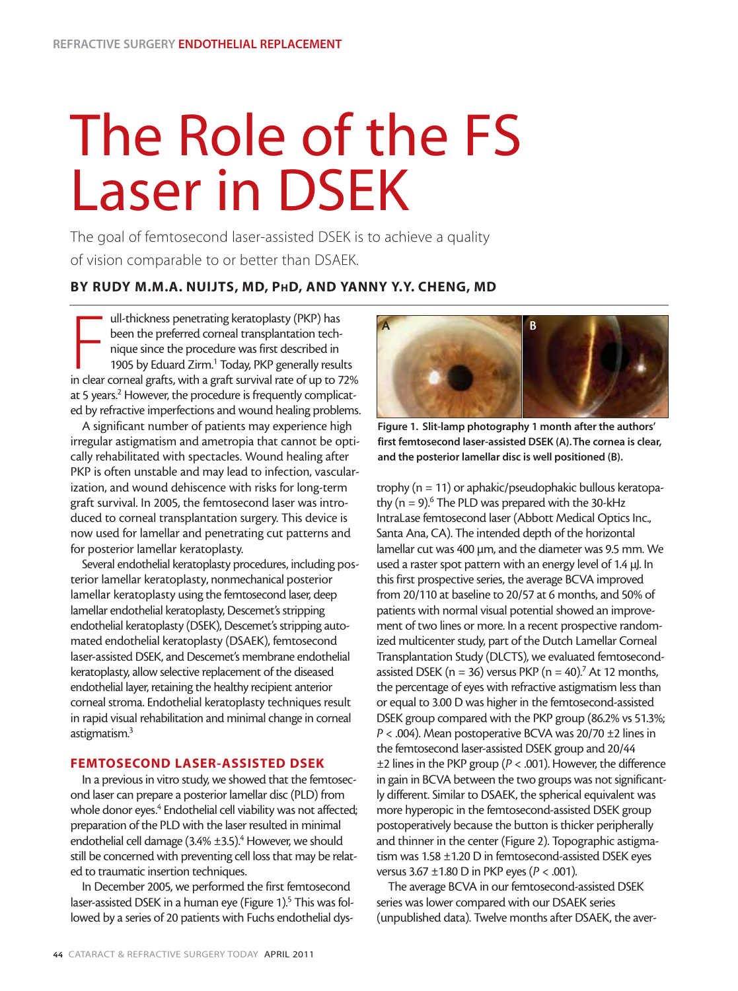## The Role of the FS Laser in DSEK

The goal of femtosecond laser-assisted DSEK is to achieve a quality of vision comparable to or better than DSAEK.

## **BY RUDY M.M.A. NUIJTS, MD, PHD, AND YANNY Y.Y. CHENG, MD**

ull-thickness penetrating keratoplasty (PKP) has<br>been the preferred corneal transplantation tech-<br>nique since the procedure was first described in<br>1905 by Eduard Zirm.<sup>1</sup> Today, PKP generally results<br>in clear corneal graft ull-thickness penetrating keratoplasty (PKP) has been the preferred corneal transplantation technique since the procedure was first described in 1905 by Eduard Zirm.<sup>1</sup> Today, PKP generally results at 5 years.<sup>2</sup> However, the procedure is frequently complicated by refractive imperfections and wound healing problems.

A significant number of patients may experience high irregular astigmatism and ametropia that cannot be optically rehabilitated with spectacles. Wound healing after PKP is often unstable and may lead to infection, vascularization, and wound dehiscence with risks for long-term graft survival. In 2005, the femtosecond laser was introduced to corneal transplantation surgery. This device is now used for lamellar and penetrating cut patterns and for posterior lamellar keratoplasty.

Several endothelial keratoplasty procedures, including posterior lamellar keratoplasty, nonmechanical posterior lamellar keratoplasty using the femtosecond laser, deep lamellar endothelial keratoplasty, Descemet's stripping endothelial keratoplasty (DSEK), Descemet's stripping automated endothelial keratoplasty (DSAEK), femtosecond laser-assisted DSEK, and Descemet's membrane endothelial keratoplasty, allow selective replacement of the diseased endothelial layer, retaining the healthy recipient anterior corneal stroma. Endothelial keratoplasty techniques result in rapid visual rehabilitation and minimal change in corneal astigmatism.3

## **FEMTOSECOND LASER-ASSISTED DSEK**

In a previous in vitro study, we showed that the femtosecond laser can prepare a posterior lamellar disc (PLD) from whole donor eyes.<sup>4</sup> Endothelial cell viability was not affected; preparation of the PLD with the laser resulted in minimal endothelial cell damage  $(3.4\% \pm 3.5)^4$  However, we should still be concerned with preventing cell loss that may be related to traumatic insertion techniques.

In December 2005, we performed the first femtosecond laser-assisted DSEK in a human eye (Figure 1).<sup>5</sup> This was followed by a series of 20 patients with Fuchs endothelial dys-



**Figure 1. Slit-lamp photography 1 month after the authors' first femtosecond laser-assisted DSEK (A).The cornea is clear, and the posterior lamellar disc is well positioned (B).**

trophy (n = 11) or aphakic/pseudophakic bullous keratopathy ( $n = 9$ ).<sup>6</sup> The PLD was prepared with the 30-kHz IntraLase femtosecond laser (Abbott Medical Optics Inc., Santa Ana, CA). The intended depth of the horizontal lamellar cut was 400 µm, and the diameter was 9.5 mm. We used a raster spot pattern with an energy level of 1.4 µJ. In this first prospective series, the average BCVA improved from 20/110 at baseline to 20/57 at 6 months, and 50% of patients with normal visual potential showed an improvement of two lines or more. In a recent prospective randomized multicenter study, part of the Dutch Lamellar Corneal Transplantation Study (DLCTS), we evaluated femtosecondassisted DSEK ( $n = 36$ ) versus PKP ( $n = 40$ ).<sup>7</sup> At 12 months, the percentage of eyes with refractive astigmatism less than or equal to 3.00 D was higher in the femtosecond-assisted DSEK group compared with the PKP group (86.2% vs 51.3%; *P* < .004). Mean postoperative BCVA was 20/70 ±2 lines in the femtosecond laser-assisted DSEK group and 20/44 ±2 lines in the PKP group (*P* < .001). However, the difference in gain in BCVA between the two groups was not significantly different. Similar to DSAEK, the spherical equivalent was more hyperopic in the femtosecond-assisted DSEK group postoperatively because the button is thicker peripherally and thinner in the center (Figure 2). Topographic astigmatism was 1.58 ±1.20 D in femtosecond-assisted DSEK eyes versus 3.67 ±1.80 D in PKP eyes (*P* < .001).

The average BCVA in our femtosecond-assisted DSEK series was lower compared with our DSAEK series (unpublished data). Twelve months after DSAEK, the aver-